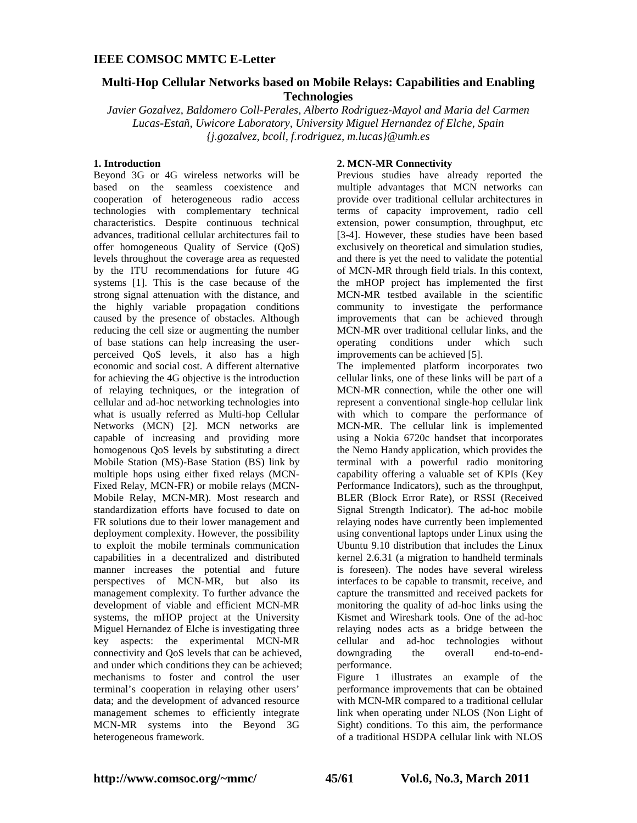# **Multi-Hop Cellular Networks based on Mobile Relays: Capabilities and Enabling Technologies**

*Javier Gozalvez, Baldomero Coll-Perales, Alberto Rodriguez-Mayol and Maria del Carmen Lucas-Estañ, Uwicore Laboratory, University Miguel Hernandez of Elche, Spain {j.gozalvez, bcoll, f.rodriguez, m.lucas}@umh.es*

### **1. Introduction**

Beyond 3G or 4G wireless networks will be based on the seamless coexistence and cooperation of heterogeneous radio access technologies with complementary technical characteristics. Despite continuous technical advances, traditional cellular architectures fail to offer homogeneous Quality of Service (QoS) levels throughout the coverage area as requested by the ITU recommendations for future 4G systems [1]. This is the case because of the strong signal attenuation with the distance, and the highly variable propagation conditions caused by the presence of obstacles. Although reducing the cell size or augmenting the number of base stations can help increasing the userperceived QoS levels, it also has a high economic and social cost. A different alternative for achieving the 4G objective is the introduction of relaying techniques, or the integration of cellular and ad-hoc networking technologies into what is usually referred as Multi-hop Cellular Networks (MCN) [2]. MCN networks are capable of increasing and providing more homogenous QoS levels by substituting a direct Mobile Station (MS)-Base Station (BS) link by multiple hops using either fixed relays (MCN-Fixed Relay, MCN-FR) or mobile relays (MCN-Mobile Relay, MCN-MR). Most research and standardization efforts have focused to date on FR solutions due to their lower management and deployment complexity. However, the possibility to exploit the mobile terminals communication capabilities in a decentralized and distributed manner increases the potential and future perspectives of MCN-MR, but also its management complexity. To further advance the development of viable and efficient MCN-MR systems, the mHOP project at the University Miguel Hernandez of Elche is investigating three key aspects: the experimental MCN-MR connectivity and QoS levels that can be achieved, and under which conditions they can be achieved; mechanisms to foster and control the user terminal's cooperation in relaying other users' data; and the development of advanced resource management schemes to efficiently integrate MCN-MR systems into the Beyond 3G heterogeneous framework.

### **2. MCN-MR Connectivity**

Previous studies have already reported the multiple advantages that MCN networks can provide over traditional cellular architectures in terms of capacity improvement, radio cell extension, power consumption, throughput, etc [3-4]. However, these studies have been based exclusively on theoretical and simulation studies, and there is yet the need to validate the potential of MCN-MR through field trials. In this context, the mHOP project has implemented the first MCN-MR testbed available in the scientific community to investigate the performance improvements that can be achieved through MCN-MR over traditional cellular links, and the operating conditions under which such improvements can be achieved [5].

The implemented platform incorporates two cellular links, one of these links will be part of a MCN-MR connection, while the other one will represent a conventional single-hop cellular link with which to compare the performance of MCN-MR. The cellular link is implemented using a Nokia 6720c handset that incorporates the Nemo Handy application, which provides the terminal with a powerful radio monitoring capability offering a valuable set of KPIs (Key Performance Indicators), such as the throughput, BLER (Block Error Rate), or RSSI (Received Signal Strength Indicator). The ad-hoc mobile relaying nodes have currently been implemented using conventional laptops under Linux using the Ubuntu 9.10 distribution that includes the Linux kernel 2.6.31 (a migration to handheld terminals is foreseen). The nodes have several wireless interfaces to be capable to transmit, receive, and capture the transmitted and received packets for monitoring the quality of ad-hoc links using the Kismet and Wireshark tools. One of the ad-hoc relaying nodes acts as a bridge between the cellular and ad-hoc technologies without<br>downgrading the overall end-to-enddowngrading the overall performance.

Figure 1 illustrates an example of the performance improvements that can be obtained with MCN-MR compared to a traditional cellular link when operating under NLOS (Non Light of Sight) conditions. To this aim, the performance of a traditional HSDPA cellular link with NLOS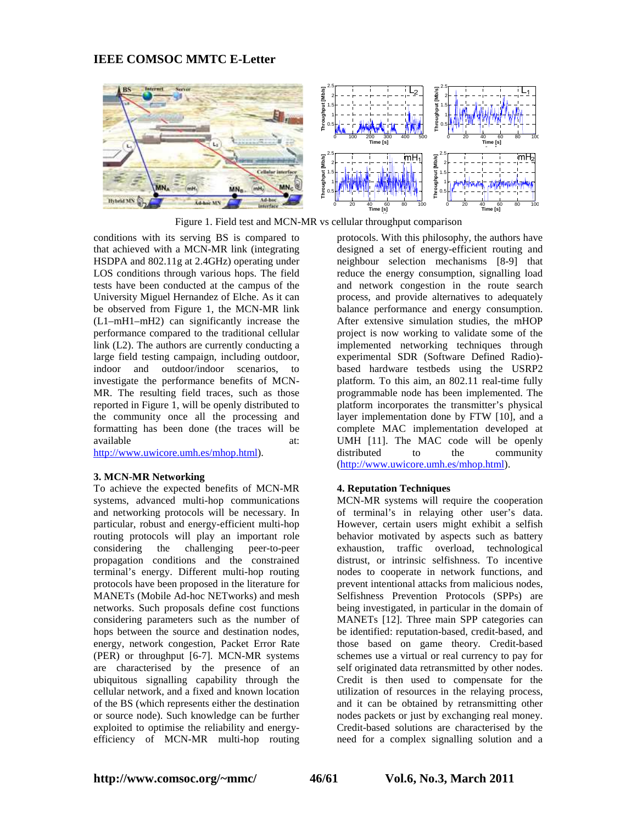

Figure 1. Field test and MCN-MR vs cellular throughput comparison

conditions with its serving BS is compared to that achieved with a MCN-MR link (integrating HSDPA and 802.11g at 2.4GHz) operating under LOS conditions through various hops. The field tests have been conducted at the campus of the University Miguel Hernandez of Elche. As it can be observed from Figure 1, the MCN-MR link (L1–mH1–mH2) can significantly increase the performance compared to the traditional cellular link (L2). The authors are currently conducting a large field testing campaign, including outdoor, indoor and outdoor/indoor scenarios, to investigate the performance benefits of MCN-MR. The resulting field traces, such as those reported in Figure 1, will be openly distributed to the community once all the processing and formatting has been done (the traces will be available at: at:

http://www.uwicore.umh.es/mhop.html).

### **3. MCN-MR Networking**

To achieve the expected benefits of MCN-MR systems, advanced multi-hop communications and networking protocols will be necessary. In particular, robust and energy-efficient multi-hop routing protocols will play an important role considering the challenging peer-to-peer propagation conditions and the constrained terminal's energy. Different multi-hop routing protocols have been proposed in the literature for MANETs (Mobile Ad-hoc NETworks) and mesh networks. Such proposals define cost functions considering parameters such as the number of hops between the source and destination nodes, energy, network congestion, Packet Error Rate (PER) or throughput [6-7]. MCN-MR systems are characterised by the presence of an ubiquitous signalling capability through the cellular network, and a fixed and known location of the BS (which represents either the destination or source node). Such knowledge can be further exploited to optimise the reliability and energyefficiency of MCN-MR multi-hop routing

protocols. With this philosophy, the authors have designed a set of energy-efficient routing and neighbour selection mechanisms [8-9] that reduce the energy consumption, signalling load and network congestion in the route search process, and provide alternatives to adequately balance performance and energy consumption. After extensive simulation studies, the mHOP project is now working to validate some of the implemented networking techniques through experimental SDR (Software Defined Radio) based hardware testbeds using the USRP2 platform. To this aim, an 802.11 real-time fully programmable node has been implemented. The platform incorporates the transmitter's physical layer implementation done by FTW [10], and a complete MAC implementation developed at UMH [11]. The MAC code will be openly distributed to the community (http://www.uwicore.umh.es/mhop.html).

### **4. Reputation Techniques**

MCN-MR systems will require the cooperation of terminal's in relaying other user's data. However, certain users might exhibit a selfish behavior motivated by aspects such as battery exhaustion, traffic overload, technological distrust, or intrinsic selfishness. To incentive nodes to cooperate in network functions, and prevent intentional attacks from malicious nodes, Selfishness Prevention Protocols (SPPs) are being investigated, in particular in the domain of MANETs [12]. Three main SPP categories can be identified: reputation-based, credit-based, and those based on game theory. Credit-based schemes use a virtual or real currency to pay for self originated data retransmitted by other nodes. Credit is then used to compensate for the utilization of resources in the relaying process, and it can be obtained by retransmitting other nodes packets or just by exchanging real money. Credit-based solutions are characterised by the need for a complex signalling solution and a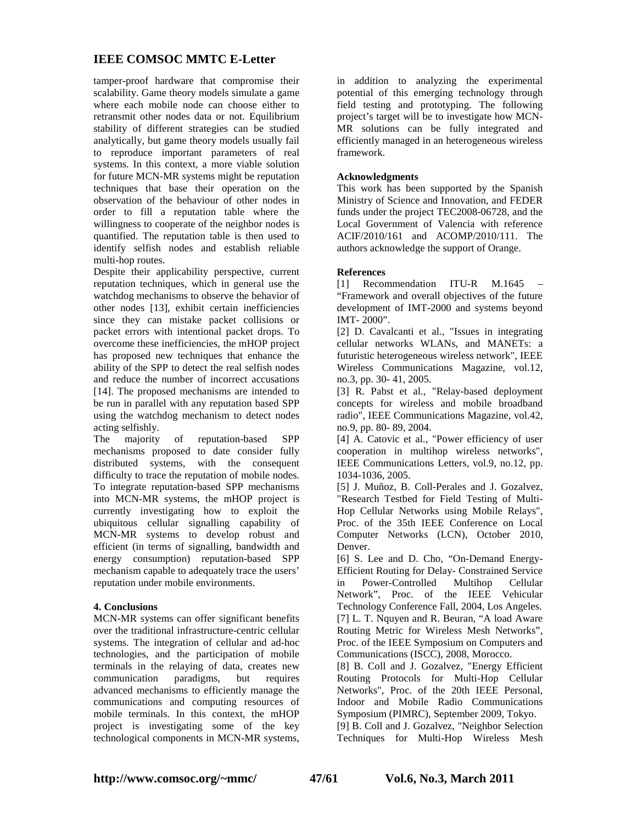tamper-proof hardware that compromise their scalability. Game theory models simulate a game where each mobile node can choose either to retransmit other nodes data or not. Equilibrium stability of different strategies can be studied analytically, but game theory models usually fail to reproduce important parameters of real systems. In this context, a more viable solution for future MCN-MR systems might be reputation techniques that base their operation on the observation of the behaviour of other nodes in order to fill a reputation table where the willingness to cooperate of the neighbor nodes is quantified. The reputation table is then used to identify selfish nodes and establish reliable multi-hop routes.

Despite their applicability perspective, current reputation techniques, which in general use the watchdog mechanisms to observe the behavior of other nodes [13], exhibit certain inefficiencies since they can mistake packet collisions or packet errors with intentional packet drops. To overcome these inefficiencies, the mHOP project has proposed new techniques that enhance the ability of the SPP to detect the real selfish nodes and reduce the number of incorrect accusations [14]. The proposed mechanisms are intended to be run in parallel with any reputation based SPP using the watchdog mechanism to detect nodes acting selfishly.

The majority of reputation-based SPP mechanisms proposed to date consider fully distributed systems, with the consequent difficulty to trace the reputation of mobile nodes. To integrate reputation-based SPP mechanisms into MCN-MR systems, the mHOP project is currently investigating how to exploit the ubiquitous cellular signalling capability of MCN-MR systems to develop robust and efficient (in terms of signalling, bandwidth and energy consumption) reputation-based SPP mechanism capable to adequately trace the users' reputation under mobile environments.

### **4. Conclusions**

MCN-MR systems can offer significant benefits over the traditional infrastructure-centric cellular systems. The integration of cellular and ad-hoc technologies, and the participation of mobile terminals in the relaying of data, creates new communication paradigms, but requires advanced mechanisms to efficiently manage the communications and computing resources of mobile terminals. In this context, the mHOP project is investigating some of the key technological components in MCN-MR systems,

in addition to analyzing the experimental potential of this emerging technology through field testing and prototyping. The following project's target will be to investigate how MCN-MR solutions can be fully integrated and efficiently managed in an heterogeneous wireless framework.

### **Acknowledgments**

This work has been supported by the Spanish Ministry of Science and Innovation, and FEDER funds under the project TEC2008-06728, and the Local Government of Valencia with reference ACIF/2010/161 and ACOMP/2010/111. The authors acknowledge the support of Orange.

#### **References**

[1] Recommendation ITU-R M.1645 – "Framework and overall objectives of the future development of IMT-2000 and systems beyond IMT- 2000".

[2] D. Cavalcanti et al., "Issues in integrating cellular networks WLANs, and MANETs: a futuristic heterogeneous wireless network", IEEE Wireless Communications Magazine, vol.12, no.3, pp. 30- 41, 2005.

[3] R. Pabst et al., "Relay-based deployment concepts for wireless and mobile broadband radio", IEEE Communications Magazine, vol.42, no.9, pp. 80- 89, 2004.

[4] A. Catovic et al., "Power efficiency of user cooperation in multihop wireless networks", IEEE Communications Letters, vol.9, no.12, pp. 1034-1036, 2005.

[5] J. Muñoz, B. Coll-Perales and J. Gozalvez, "Research Testbed for Field Testing of Multi-Hop Cellular Networks using Mobile Relays", Proc. of the 35th IEEE Conference on Local Computer Networks (LCN), October 2010, Denver.

[6] S. Lee and D. Cho, "On-Demand Energy-Efficient Routing for Delay- Constrained Service in Power-Controlled Multihop Cellular Network", Proc. of the IEEE Vehicular Technology Conference Fall, 2004, Los Angeles. [7] L. T. Nquyen and R. Beuran, "A load Aware Routing Metric for Wireless Mesh Networks", Proc. of the IEEE Symposium on Computers and Communications (ISCC), 2008, Morocco.

[8] B. Coll and J. Gozalvez, "Energy Efficient Routing Protocols for Multi-Hop Cellular Networks", Proc. of the 20th IEEE Personal, Indoor and Mobile Radio Communications Symposium (PIMRC), September 2009, Tokyo. [9] B. Coll and J. Gozalvez, "Neighbor Selection

Techniques for Multi-Hop Wireless Mesh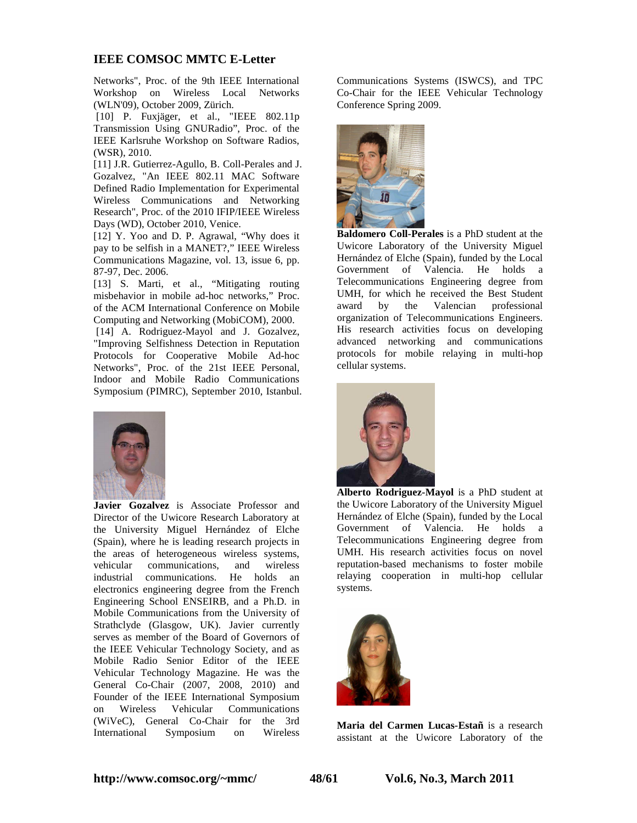Networks", Proc. of the 9th IEEE International Workshop on Wireless Local Networks (WLN'09), October 2009, Zürich.

 [10] P. Fuxjäger, et al., "IEEE 802.11p Transmission Using GNURadio", Proc. of the IEEE Karlsruhe Workshop on Software Radios, (WSR), 2010.

[11] J.R. Gutierrez-Agullo, B. Coll-Perales and J. Gozalvez, "An IEEE 802.11 MAC Software Defined Radio Implementation for Experimental Wireless Communications and Networking Research", Proc. of the 2010 IFIP/IEEE Wireless Days (WD), October 2010, Venice.

[12] Y. Yoo and D. P. Agrawal, "Why does it pay to be selfish in a MANET?," IEEE Wireless Communications Magazine, vol. 13, issue 6, pp. 87-97, Dec. 2006.

[13] S. Marti, et al., "Mitigating routing misbehavior in mobile ad-hoc networks," Proc. of the ACM International Conference on Mobile Computing and Networking (MobiCOM), 2000.

[14] A. Rodriguez-Mayol and J. Gozalvez, "Improving Selfishness Detection in Reputation Protocols for Cooperative Mobile Ad-hoc Networks", Proc. of the 21st IEEE Personal, Indoor and Mobile Radio Communications Symposium (PIMRC), September 2010, Istanbul.



**Javier Gozalvez** is Associate Professor and Director of the Uwicore Research Laboratory at the University Miguel Hernández of Elche (Spain), where he is leading research projects in the areas of heterogeneous wireless systems, vehicular communications, and wireless industrial communications. He holds an electronics engineering degree from the French Engineering School ENSEIRB, and a Ph.D. in Mobile Communications from the University of Strathclyde (Glasgow, UK). Javier currently serves as member of the Board of Governors of the IEEE Vehicular Technology Society, and as Mobile Radio Senior Editor of the IEEE Vehicular Technology Magazine. He was the General Co-Chair (2007, 2008, 2010) and Founder of the IEEE International Symposium on Wireless Vehicular Communications (WiVeC), General Co-Chair for the 3rd International Symposium on Wireless

Communications Systems (ISWCS), and TPC Co-Chair for the IEEE Vehicular Technology Conference Spring 2009.



**Baldomero Coll-Perales** is a PhD student at the Uwicore Laboratory of the University Miguel Hernández of Elche (Spain), funded by the Local<br>Government of Valencia. He holds a Government of Valencia. Telecommunications Engineering degree from UMH, for which he received the Best Student award by the Valencian professional organization of Telecommunications Engineers. His research activities focus on developing advanced networking and communications protocols for mobile relaying in multi-hop cellular systems.



**Alberto Rodriguez-Mayol** is a PhD student at the Uwicore Laboratory of the University Miguel Hernández of Elche (Spain), funded by the Local Government of Valencia. He holds a Telecommunications Engineering degree from UMH. His research activities focus on novel reputation-based mechanisms to foster mobile relaying cooperation in multi-hop cellular systems.



**Maria del Carmen Lucas-Estañ** is a research assistant at the Uwicore Laboratory of the